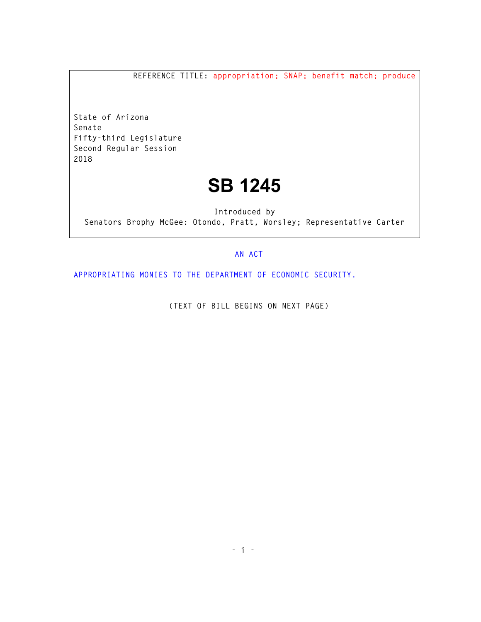**REFERENCE TITLE: appropriation; SNAP; benefit match; produce** 

**State of Arizona Senate Fifty-third Legislature Second Regular Session 2018** 

## **SB 1245**

**Introduced by Senators Brophy McGee: Otondo, Pratt, Worsley; Representative Carter** 

## **AN ACT**

**APPROPRIATING MONIES TO THE DEPARTMENT OF ECONOMIC SECURITY.** 

**(TEXT OF BILL BEGINS ON NEXT PAGE)**